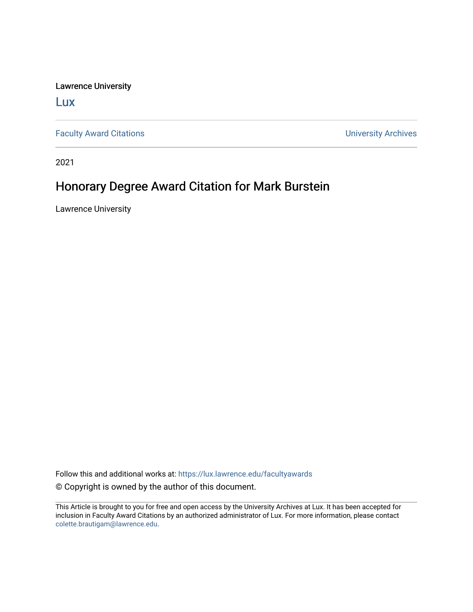Lawrence University

[Lux](https://lux.lawrence.edu/)

[Faculty Award Citations](https://lux.lawrence.edu/facultyawards) **Example 2018** 2019 12:30 Number 2019 12:30 Number 2019 12:30 Number 2019 12:30 Number 2019 12:30 Number 2019 12:30 Number 2019 12:30 Number 2019 12:30 Number 2019 12:30 Number 2019 12:30 Number 201

2021

## Honorary Degree Award Citation for Mark Burstein

Lawrence University

Follow this and additional works at: [https://lux.lawrence.edu/facultyawards](https://lux.lawrence.edu/facultyawards?utm_source=lux.lawrence.edu%2Ffacultyawards%2F216&utm_medium=PDF&utm_campaign=PDFCoverPages)  © Copyright is owned by the author of this document.

This Article is brought to you for free and open access by the University Archives at Lux. It has been accepted for inclusion in Faculty Award Citations by an authorized administrator of Lux. For more information, please contact [colette.brautigam@lawrence.edu.](mailto:colette.brautigam@lawrence.edu)